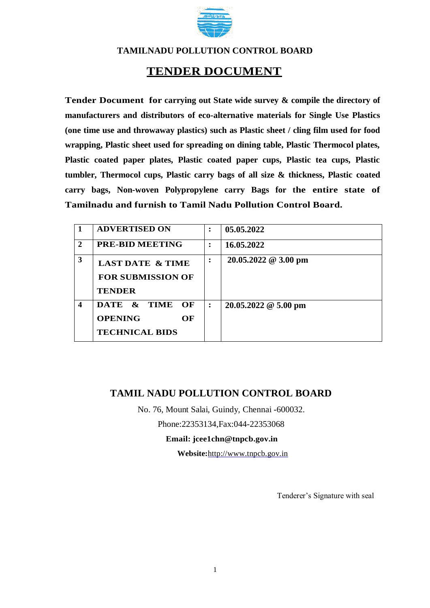

## **TENDER DOCUMENT**

**Tender Document for carrying out State wide survey & compile the directory of manufacturers and distributors of eco-alternative materials for Single Use Plastics (one time use and throwaway plastics) such as Plastic sheet / cling film used for food wrapping, Plastic sheet used for spreading on dining table, Plastic Thermocol plates, Plastic coated paper plates, Plastic coated paper cups, Plastic tea cups, Plastic tumbler, Thermocol cups, Plastic carry bags of all size & thickness, Plastic coated carry bags, Non-woven Polypropylene carry Bags for the entire state of Tamilnadu and furnish to Tamil Nadu Pollution Control Board.**

|                  | <b>ADVERTISED ON</b>                                                     | $\ddot{\cdot}$       | 05.05.2022                         |
|------------------|--------------------------------------------------------------------------|----------------------|------------------------------------|
| 2                | <b>PRE-BID MEETING</b>                                                   |                      | 16.05.2022                         |
| 3                | <b>LAST DATE &amp; TIME</b><br><b>FOR SUBMISSION OF</b><br><b>TENDER</b> |                      | $20.05.2022 \ @ \ 3.00 \text{ pm}$ |
| $\boldsymbol{4}$ | DATE & TIME OF<br><b>OPENING</b><br>OF<br><b>TECHNICAL BIDS</b>          | $\ddot{\phantom{a}}$ | $20.05.2022 \& 5.00 \text{ pm}$    |

## **TAMIL NADU POLLUTION CONTROL BOARD**

No. 76, Mount Salai, Guindy, Chennai -600032.

Phone:22353134,Fax:044-22353068

**Email: jcee1chn@tnpcb.gov.in**

**Website:**http://www.tnpcb.gov.in

Tenderer's Signature with seal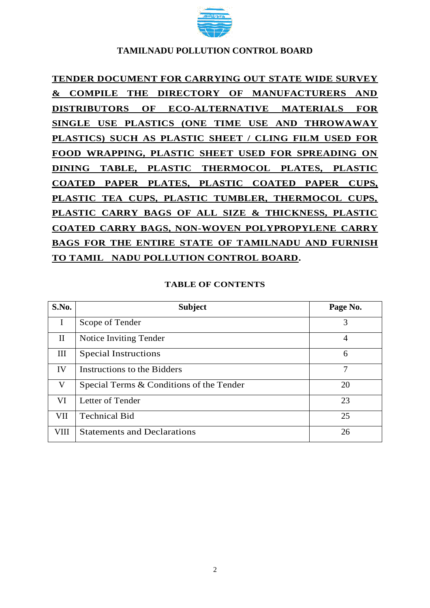

# **TENDER DOCUMENT FOR CARRYING OUT STATE WIDE SURVEY & COMPILE THE DIRECTORY OF MANUFACTURERS AND DISTRIBUTORS OF ECO-ALTERNATIVE MATERIALS FOR SINGLE USE PLASTICS (ONE TIME USE AND THROWAWAY PLASTICS) SUCH AS PLASTIC SHEET / CLING FILM USED FOR FOOD WRAPPING, PLASTIC SHEET USED FOR SPREADING ON DINING TABLE, PLASTIC THERMOCOL PLATES, PLASTIC COATED PAPER PLATES, PLASTIC COATED PAPER CUPS, PLASTIC TEA CUPS, PLASTIC TUMBLER, THERMOCOL CUPS, PLASTIC CARRY BAGS OF ALL SIZE & THICKNESS, PLASTIC COATED CARRY BAGS, NON-WOVEN POLYPROPYLENE CARRY BAGS FOR THE ENTIRE STATE OF TAMILNADU AND FURNISH TO TAMIL NADU POLLUTION CONTROL BOARD.**

#### **TABLE OF CONTENTS**

| S.No.        | <b>Subject</b>                           | Page No. |
|--------------|------------------------------------------|----------|
|              | Scope of Tender                          | 3        |
| $\mathbf{I}$ | Notice Inviting Tender                   | 4        |
| III          | <b>Special Instructions</b>              | 6        |
| IV           | Instructions to the Bidders              | 7        |
| V            | Special Terms & Conditions of the Tender | 20       |
| VI           | Letter of Tender                         | 23       |
| VII          | <b>Technical Bid</b>                     | 25       |
| <b>VIII</b>  | <b>Statements and Declarations</b>       | 26       |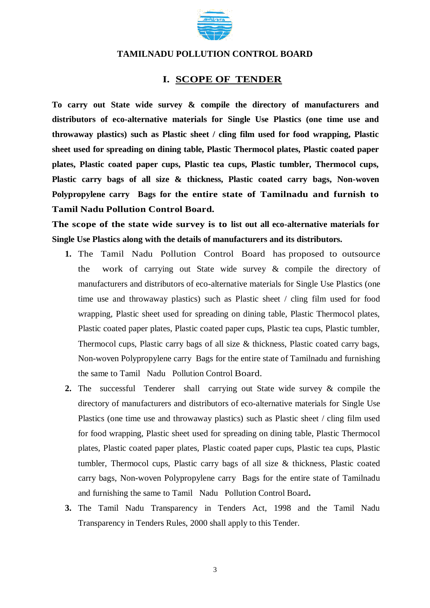

#### **I. SCOPE OF TENDER**

**To carry out State wide survey & compile the directory of manufacturers and distributors of eco-alternative materials for Single Use Plastics (one time use and throwaway plastics) such as Plastic sheet / cling film used for food wrapping, Plastic sheet used for spreading on dining table, Plastic Thermocol plates, Plastic coated paper plates, Plastic coated paper cups, Plastic tea cups, Plastic tumbler, Thermocol cups, Plastic carry bags of all size & thickness, Plastic coated carry bags, Non-woven Polypropylene carry Bags for the entire state of Tamilnadu and furnish to Tamil Nadu Pollution Control Board.**

**The scope of the state wide survey is to list out all eco-alternative materials for Single Use Plastics along with the details of manufacturers and its distributors.** 

- **1.** The Tamil Nadu Pollution Control Board has proposed to outsource the work of carrying out State wide survey & compile the directory of manufacturers and distributors of eco-alternative materials for Single Use Plastics (one time use and throwaway plastics) such as Plastic sheet / cling film used for food wrapping, Plastic sheet used for spreading on dining table, Plastic Thermocol plates, Plastic coated paper plates, Plastic coated paper cups, Plastic tea cups, Plastic tumbler, Thermocol cups, Plastic carry bags of all size & thickness, Plastic coated carry bags, Non-woven Polypropylene carry Bags for the entire state of Tamilnadu and furnishing the same to Tamil Nadu Pollution Control Board.
- **2.** The successful Tenderer shall carrying out State wide survey & compile the directory of manufacturers and distributors of eco-alternative materials for Single Use Plastics (one time use and throwaway plastics) such as Plastic sheet / cling film used for food wrapping, Plastic sheet used for spreading on dining table, Plastic Thermocol plates, Plastic coated paper plates, Plastic coated paper cups, Plastic tea cups, Plastic tumbler, Thermocol cups, Plastic carry bags of all size & thickness, Plastic coated carry bags, Non-woven Polypropylene carry Bags for the entire state of Tamilnadu and furnishing the same to Tamil Nadu Pollution Control Board**.**
- **3.** The Tamil Nadu Transparency in Tenders Act, 1998 and the Tamil Nadu Transparency in Tenders Rules, 2000 shall apply to this Tender.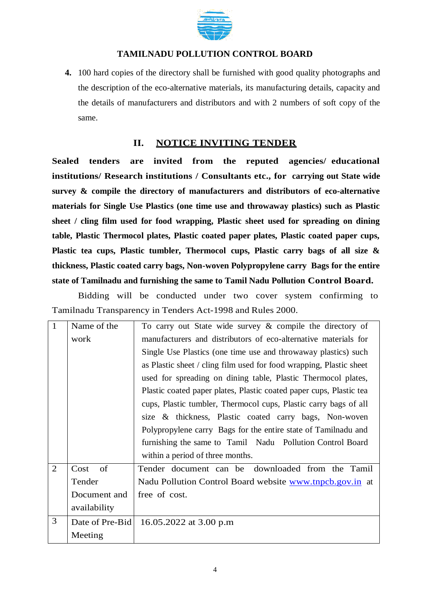

**4.** 100 hard copies of the directory shall be furnished with good quality photographs and the description of the eco-alternative materials, its manufacturing details, capacity and the details of manufacturers and distributors and with 2 numbers of soft copy of the same.

## **II. NOTICE INVITING TENDER**

**Sealed tenders are invited from the reputed agencies/ educational institutions/ Research institutions / Consultants etc., for carrying out State wide survey & compile the directory of manufacturers and distributors of eco-alternative materials for Single Use Plastics (one time use and throwaway plastics) such as Plastic sheet / cling film used for food wrapping, Plastic sheet used for spreading on dining table, Plastic Thermocol plates, Plastic coated paper plates, Plastic coated paper cups, Plastic tea cups, Plastic tumbler, Thermocol cups, Plastic carry bags of all size & thickness, Plastic coated carry bags, Non-woven Polypropylene carry Bags for the entire state of Tamilnadu and furnishing the same to Tamil Nadu Pollution Control Board.**

Bidding will be conducted under two cover system confirming to Tamilnadu Transparency in Tenders Act-1998 and Rules 2000.

| $\overline{1}$ | Name of the     | To carry out State wide survey $\&$ compile the directory of        |  |  |  |
|----------------|-----------------|---------------------------------------------------------------------|--|--|--|
|                | work            | manufacturers and distributors of eco-alternative materials for     |  |  |  |
|                |                 | Single Use Plastics (one time use and throwaway plastics) such      |  |  |  |
|                |                 | as Plastic sheet / cling film used for food wrapping, Plastic sheet |  |  |  |
|                |                 | used for spreading on dining table, Plastic Thermocol plates,       |  |  |  |
|                |                 | Plastic coated paper plates, Plastic coated paper cups, Plastic tea |  |  |  |
|                |                 | cups, Plastic tumbler, Thermocol cups, Plastic carry bags of all    |  |  |  |
|                |                 | size & thickness, Plastic coated carry bags, Non-woven              |  |  |  |
|                |                 | Polypropylene carry Bags for the entire state of Tamilnadu and      |  |  |  |
|                |                 | furnishing the same to Tamil Nadu Pollution Control Board           |  |  |  |
|                |                 | within a period of three months.                                    |  |  |  |
| 2              | of<br>Cost      | Tender document can be downloaded from the Tamil                    |  |  |  |
|                | Tender          | Nadu Pollution Control Board website www.tnpcb.gov.in at            |  |  |  |
|                | Document and    | free of cost.                                                       |  |  |  |
|                | availability    |                                                                     |  |  |  |
| 3              | Date of Pre-Bid | 16.05.2022 at 3.00 p.m                                              |  |  |  |
|                | Meeting         |                                                                     |  |  |  |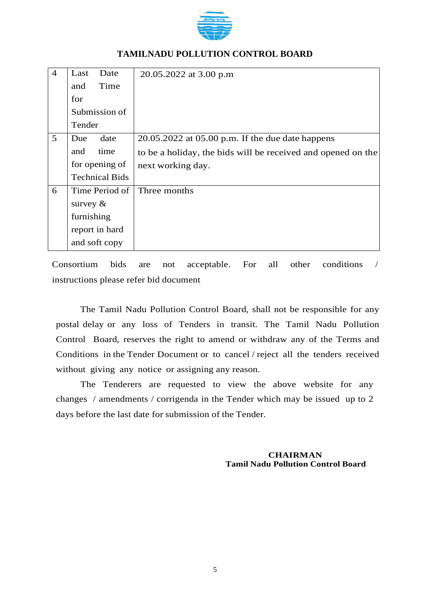

| $\overline{4}$ | Last<br>Date          | 20.05.2022 at 3.00 p.m                                       |
|----------------|-----------------------|--------------------------------------------------------------|
|                | Time<br>and           |                                                              |
|                | for                   |                                                              |
|                | Submission of         |                                                              |
|                | Tender                |                                                              |
| 5              | date<br>Due           | $20.05.2022$ at $05.00$ p.m. If the due date happens         |
|                | time<br>and           | to be a holiday, the bids will be received and opened on the |
|                | for opening of        | next working day.                                            |
|                | <b>Technical Bids</b> |                                                              |
| 6              | Time Period of        | Three months                                                 |
|                | survey $\&$           |                                                              |
|                | furnishing            |                                                              |
|                | report in hard        |                                                              |
|                | and soft copy         |                                                              |

Consortium bids are not acceptable. For all other conditions / instructions please refer bid document

The Tamil Nadu Pollution Control Board, shall not be responsible for any postal delay or any loss of Tenders in transit. The Tamil Nadu Pollution Control Board, reserves the right to amend or withdraw any of the Terms and Conditions in the Tender Document or to cancel / reject all the tenders received without giving any notice or assigning any reason.

The Tenderers are requested to view the above website for any changes / amendments / corrigenda in the Tender which may be issued up to 2 days before the last date for submission of the Tender.

> **CHAIRMAN Tamil Nadu Pollution Control Board**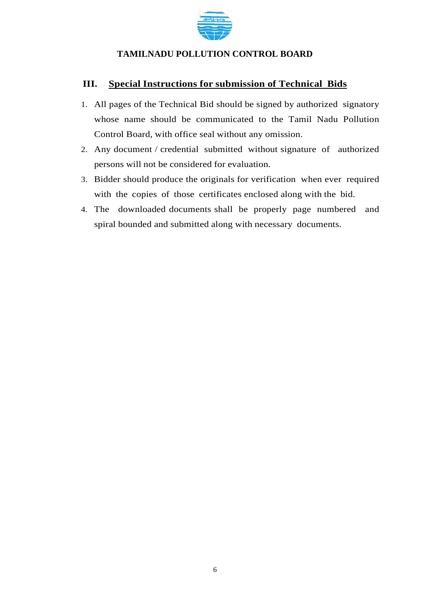

## **III. Special Instructions for submission of Technical Bids**

- 1. All pages of the Technical Bid should be signed by authorized signatory whose name should be communicated to the Tamil Nadu Pollution Control Board, with office seal without any omission.
- 2. Any document / credential submitted without signature of authorized persons will not be considered for evaluation.
- 3. Bidder should produce the originals for verification when ever required with the copies of those certificates enclosed along with the bid.
- 4. The downloaded documents shall be properly page numbered and spiral bounded and submitted along with necessary documents.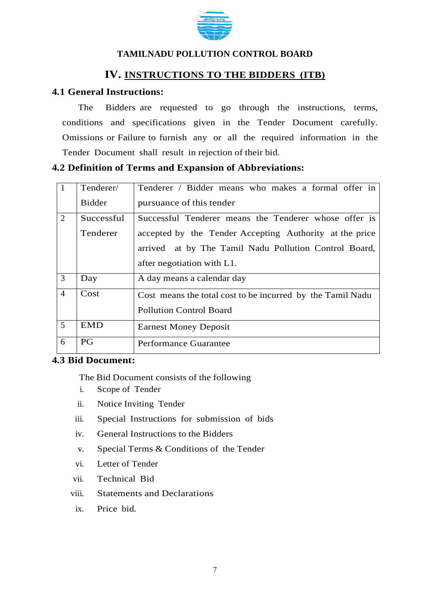

## **IV. INSTRUCTIONS TO THE BIDDERS (ITB)**

## **4.1 General Instructions:**

The Bidders are requested to go through the instructions, terms, conditions and specifications given in the Tender Document carefully. Omissions or Failure to furnish any or all the required information in the Tender Document shall result in rejection of their bid.

#### **4.2 Definition of Terms and Expansion of Abbreviations:**

|                | Tenderer/     | Tenderer / Bidder means who makes a formal offer in        |  |  |  |
|----------------|---------------|------------------------------------------------------------|--|--|--|
|                | <b>Bidder</b> | pursuance of this tender                                   |  |  |  |
| 2              | Successful    | Successful Tenderer means the Tenderer whose offer is      |  |  |  |
|                | Tenderer      | accepted by the Tender Accepting Authority at the price    |  |  |  |
|                |               | arrived at by The Tamil Nadu Pollution Control Board,      |  |  |  |
|                |               | after negotiation with L1.                                 |  |  |  |
| 3              | Day           | A day means a calendar day                                 |  |  |  |
| $\overline{4}$ | Cost          | Cost means the total cost to be incurred by the Tamil Nadu |  |  |  |
|                |               | <b>Pollution Control Board</b>                             |  |  |  |
| 5              | <b>EMD</b>    | <b>Earnest Money Deposit</b>                               |  |  |  |
| 6              | <b>PG</b>     | Performance Guarantee                                      |  |  |  |

## **4.3 Bid Document:**

The Bid Document consists of the following

- i. Scope of Tender
- ii. Notice Inviting Tender
- iii. Special Instructions for submission of bids
- iv. General Instructions to the Bidders
- v. Special Terms & Conditions of the Tender
- vi. Letter of Tender
- vii. Technical Bid
- viii. Statements and Declarations
- ix. Price bid.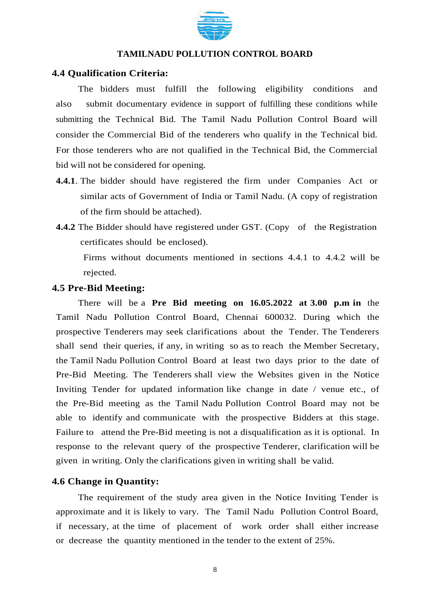

#### **4.4 Qualification Criteria:**

The bidders must fulfill the following eligibility conditions and also submit documentary evidence in support of fulfilling these conditions while submitting the Technical Bid. The Tamil Nadu Pollution Control Board will consider the Commercial Bid of the tenderers who qualify in the Technical bid. For those tenderers who are not qualified in the Technical Bid, the Commercial bid will not be considered for opening.

- **4.4.1**. The bidder should have registered the firm under Companies Act or similar acts of Government of India or Tamil Nadu. (A copy of registration of the firm should be attached).
- **4.4.2** The Bidder should have registered under GST. (Copy of the Registration certificates should be enclosed).

Firms without documents mentioned in sections 4.4.1 to 4.4.2 will be rejected.

#### **4.5 Pre-Bid Meeting:**

There will be a **Pre Bid meeting on 16.05.2022 at 3.00 p.m in** the Tamil Nadu Pollution Control Board, Chennai 600032. During which the prospective Tenderers may seek clarifications about the Tender. The Tenderers shall send their queries, if any, in writing so as to reach the Member Secretary, the Tamil Nadu Pollution Control Board at least two days prior to the date of Pre-Bid Meeting. The Tenderers shall view the Websites given in the Notice Inviting Tender for updated information like change in date / venue etc., of the Pre-Bid meeting as the Tamil Nadu Pollution Control Board may not be able to identify and communicate with the prospective Bidders at this stage. Failure to attend the Pre-Bid meeting is not a disqualification as it is optional. In response to the relevant query of the prospective Tenderer, clarification will be given in writing. Only the clarifications given in writing shall be valid.

#### **4.6 Change in Quantity:**

The requirement of the study area given in the Notice Inviting Tender is approximate and it is likely to vary. The Tamil Nadu Pollution Control Board, if necessary, at the time of placement of work order shall either increase or decrease the quantity mentioned in the tender to the extent of 25%.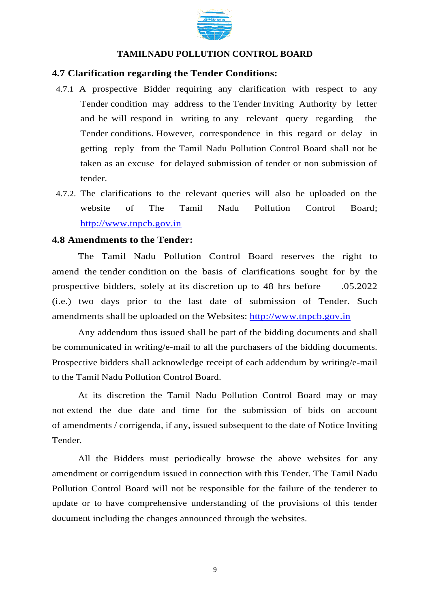

#### **4.7 Clarification regarding the Tender Conditions:**

- 4.7.1 A prospective Bidder requiring any clarification with respect to any Tender condition may address to the Tender Inviting Authority by letter and he will respond in writing to any relevant query regarding the Tender conditions. However, correspondence in this regard or delay in getting reply from the Tamil Nadu Pollution Control Board shall not be taken as an excuse for delayed submission of tender or non submission of tender.
- 4.7.2. The clarifications to the relevant queries will also be uploaded on the website of The Tamil Nadu Pollution Control Board; http://www.tnpcb.gov.in

#### **4.8 Amendments to the Tender:**

The Tamil Nadu Pollution Control Board reserves the right to amend the tender condition on the basis of clarifications sought for by the prospective bidders, solely at its discretion up to 48 hrs before .05.2022 (i.e.) two days prior to the last date of submission of Tender. Such amendments shall be uploaded on the Websites: http://www.tnpcb.gov.in

Any addendum thus issued shall be part of the bidding documents and shall be communicated in writing/e-mail to all the purchasers of the bidding documents. Prospective bidders shall acknowledge receipt of each addendum by writing/e-mail to the Tamil Nadu Pollution Control Board.

At its discretion the Tamil Nadu Pollution Control Board may or may not extend the due date and time for the submission of bids on account of amendments / corrigenda, if any, issued subsequent to the date of Notice Inviting Tender.

All the Bidders must periodically browse the above websites for any amendment or corrigendum issued in connection with this Tender. The Tamil Nadu Pollution Control Board will not be responsible for the failure of the tenderer to update or to have comprehensive understanding of the provisions of this tender document including the changes announced through the websites.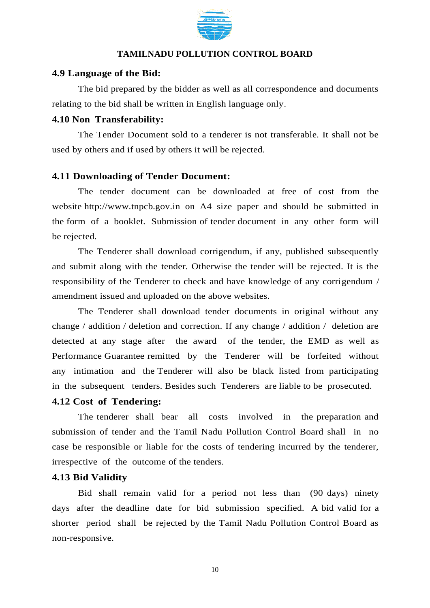

### **4.9 Language of the Bid:**

The bid prepared by the bidder as well as all correspondence and documents relating to the bid shall be written in English language only.

## **4.10 Non Transferability:**

The Tender Document sold to a tenderer is not transferable. It shall not be used by others and if used by others it will be rejected.

## **4.11 Downloading of Tender Document:**

The tender document can be downloaded at free of cost from the website http:/[/www.tnpcb.gov.in on](http://www.tnpcb.gov.in/) A4 size paper and should be submitted in the form of a booklet. Submission of tender document in any other form will be rejected.

The Tenderer shall download corrigendum, if any, published subsequently and submit along with the tender. Otherwise the tender will be rejected. It is the responsibility of the Tenderer to check and have knowledge of any corrigendum / amendment issued and uploaded on the above websites.

The Tenderer shall download tender documents in original without any change / addition / deletion and correction. If any change / addition / deletion are detected at any stage after the award of the tender, the EMD as well as Performance Guarantee remitted by the Tenderer will be forfeited without any intimation and the Tenderer will also be black listed from participating in the subsequent tenders. Besides such Tenderers are liable to be prosecuted.

## **4.12 Cost of Tendering:**

The tenderer shall bear all costs involved in the preparation and submission of tender and the Tamil Nadu Pollution Control Board shall in no case be responsible or liable for the costs of tendering incurred by the tenderer, irrespective of the outcome of the tenders.

## **4.13 Bid Validity**

Bid shall remain valid for a period not less than (90 days) ninety days after the deadline date for bid submission specified. A bid valid for a shorter period shall be rejected by the Tamil Nadu Pollution Control Board as non-responsive.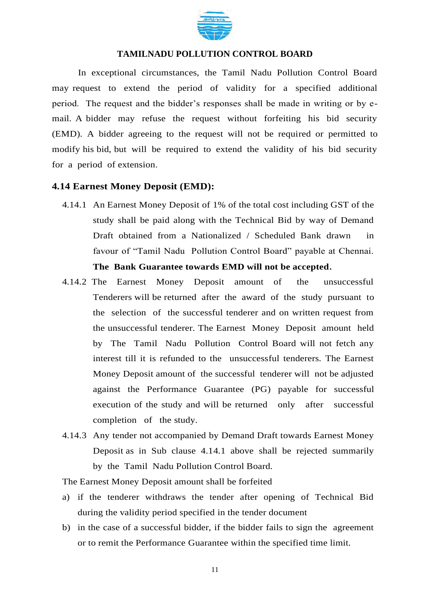

In exceptional circumstances, the Tamil Nadu Pollution Control Board may request to extend the period of validity for a specified additional period. The request and the bidder's responses shall be made in writing or by email. A bidder may refuse the request without forfeiting his bid security (EMD). A bidder agreeing to the request will not be required or permitted to modify his bid, but will be required to extend the validity of his bid security for a period of extension.

#### **4.14 Earnest Money Deposit (EMD):**

- 4.14.1 An Earnest Money Deposit of 1% of the total cost including GST of the study shall be paid along with the Technical Bid by way of Demand Draft obtained from a Nationalized / Scheduled Bank drawn in favour of "Tamil Nadu Pollution Control Board" payable at Chennai. **The Bank Guarantee towards EMD will not be accepted.**
- 4.14.2 The Earnest Money Deposit amount of the unsuccessful Tenderers will be returned after the award of the study pursuant to the selection of the successful tenderer and on written request from the unsuccessful tenderer. The Earnest Money Deposit amount held by The Tamil Nadu Pollution Control Board will not fetch any interest till it is refunded to the unsuccessful tenderers. The Earnest Money Deposit amount of the successful tenderer will not be adjusted against the Performance Guarantee (PG) payable for successful execution of the study and will be returned only after successful completion of the study.
- 4.14.3 Any tender not accompanied by Demand Draft towards Earnest Money Deposit as in Sub clause 4.14.1 above shall be rejected summarily by the Tamil Nadu Pollution Control Board.

The Earnest Money Deposit amount shall be forfeited

- a) if the tenderer withdraws the tender after opening of Technical Bid during the validity period specified in the tender document
- b) in the case of a successful bidder, if the bidder fails to sign the agreement or to remit the Performance Guarantee within the specified time limit.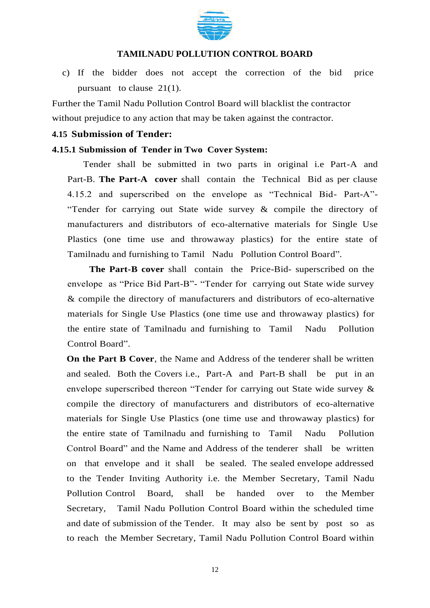

c) If the bidder does not accept the correction of the bid price pursuant to clause 21(1).

Further the Tamil Nadu Pollution Control Board will blacklist the contractor without prejudice to any action that may be taken against the contractor.

#### **4.15 Submission of Tender:**

#### **4.15.1 Submission of Tender in Two Cover System:**

Tender shall be submitted in two parts in original i.e Part-A and Part-B. **The Part-A cover** shall contain the Technical Bid as per clause 4.15.2 and superscribed on the envelope as "Technical Bid- Part-A"- "Tender for carrying out State wide survey & compile the directory of manufacturers and distributors of eco-alternative materials for Single Use Plastics (one time use and throwaway plastics) for the entire state of Tamilnadu and furnishing to Tamil Nadu Pollution Control Board".

**The Part-B cover** shall contain the Price-Bid- superscribed on the envelope as "Price Bid Part-B"- "Tender for carrying out State wide survey & compile the directory of manufacturers and distributors of eco-alternative materials for Single Use Plastics (one time use and throwaway plastics) for the entire state of Tamilnadu and furnishing to Tamil Nadu Pollution Control Board".

**On the Part B Cover**, the Name and Address of the tenderer shall be written and sealed. Both the Covers i.e., Part-A and Part-B shall be put in an envelope superscribed thereon "Tender for carrying out State wide survey & compile the directory of manufacturers and distributors of eco-alternative materials for Single Use Plastics (one time use and throwaway plastics) for the entire state of Tamilnadu and furnishing to Tamil Nadu Pollution Control Board" and the Name and Address of the tenderer shall be written on that envelope and it shall be sealed. The sealed envelope addressed to the Tender Inviting Authority i.e. the Member Secretary, Tamil Nadu Pollution Control Board, shall be handed over to the Member Secretary, Tamil Nadu Pollution Control Board within the scheduled time and date of submission of the Tender. It may also be sent by post so as to reach the Member Secretary, Tamil Nadu Pollution Control Board within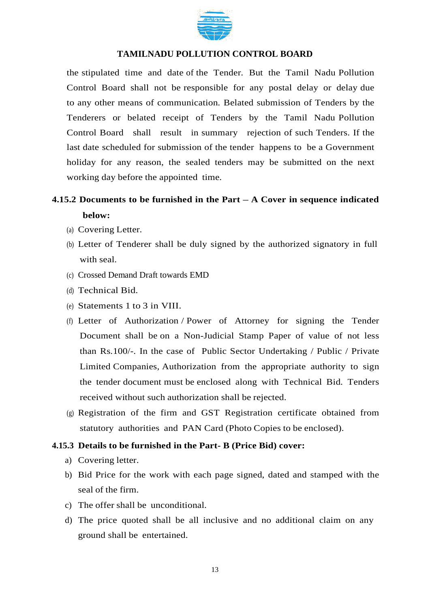

the stipulated time and date of the Tender. But the Tamil Nadu Pollution Control Board shall not be responsible for any postal delay or delay due to any other means of communication. Belated submission of Tenders by the Tenderers or belated receipt of Tenders by the Tamil Nadu Pollution Control Board shall result in summary rejection of such Tenders. If the last date scheduled for submission of the tender happens to be a Government holiday for any reason, the sealed tenders may be submitted on the next working day before the appointed time.

## **4.15.2 Documents to be furnished in the Part – A Cover in sequence indicated below:**

- (a) Covering Letter.
- (b) Letter of Tenderer shall be duly signed by the authorized signatory in full with seal.
- (c) Crossed Demand Draft towards EMD
- (d) Technical Bid.
- (e) Statements 1 to 3 in VIII.
- (f) Letter of Authorization / Power of Attorney for signing the Tender Document shall be on a Non-Judicial Stamp Paper of value of not less than Rs.100/-. In the case of Public Sector Undertaking / Public / Private Limited Companies, Authorization from the appropriate authority to sign the tender document must be enclosed along with Technical Bid. Tenders received without such authorization shall be rejected.
- (g) Registration of the firm and GST Registration certificate obtained from statutory authorities and PAN Card (Photo Copies to be enclosed).

## **4.15.3 Details to be furnished in the Part- B (Price Bid) cover:**

- a) Covering letter.
- b) Bid Price for the work with each page signed, dated and stamped with the seal of the firm.
- c) The offer shall be unconditional.
- d) The price quoted shall be all inclusive and no additional claim on any ground shall be entertained.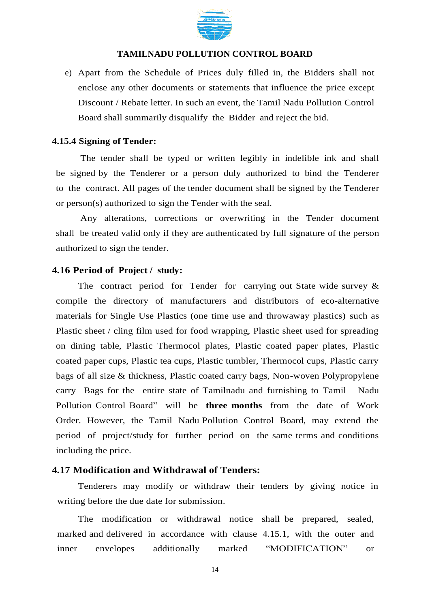

e) Apart from the Schedule of Prices duly filled in, the Bidders shall not enclose any other documents or statements that influence the price except Discount / Rebate letter. In such an event, the Tamil Nadu Pollution Control Board shall summarily disqualify the Bidder and reject the bid.

#### **4.15.4 Signing of Tender:**

The tender shall be typed or written legibly in indelible ink and shall be signed by the Tenderer or a person duly authorized to bind the Tenderer to the contract. All pages of the tender document shall be signed by the Tenderer or person(s) authorized to sign the Tender with the seal.

Any alterations, corrections or overwriting in the Tender document shall be treated valid only if they are authenticated by full signature of the person authorized to sign the tender.

#### **4.16 Period of Project / study:**

The contract period for Tender for carrying out State wide survey  $\&$ compile the directory of manufacturers and distributors of eco-alternative materials for Single Use Plastics (one time use and throwaway plastics) such as Plastic sheet / cling film used for food wrapping, Plastic sheet used for spreading on dining table, Plastic Thermocol plates, Plastic coated paper plates, Plastic coated paper cups, Plastic tea cups, Plastic tumbler, Thermocol cups, Plastic carry bags of all size & thickness, Plastic coated carry bags, Non-woven Polypropylene carry Bags for the entire state of Tamilnadu and furnishing to Tamil Nadu Pollution Control Board" will be **three months** from the date of Work Order. However, the Tamil Nadu Pollution Control Board, may extend the period of project/study for further period on the same terms and conditions including the price.

### **4.17 Modification and Withdrawal of Tenders:**

Tenderers may modify or withdraw their tenders by giving notice in writing before the due date for submission.

The modification or withdrawal notice shall be prepared, sealed, marked and delivered in accordance with clause 4.15.1, with the outer and inner envelopes additionally marked "MODIFICATION" or

14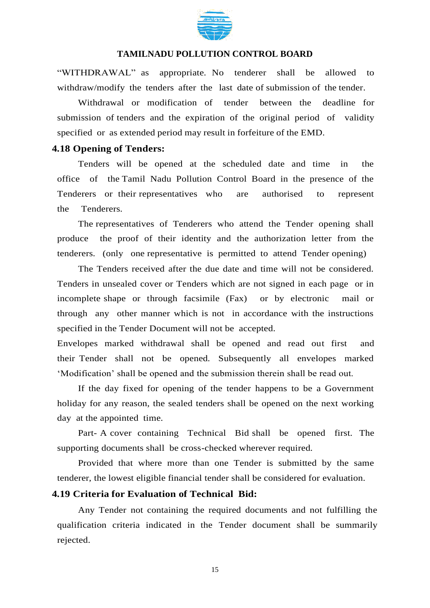

"WITHDRAWAL" as appropriate. No tenderer shall be allowed to withdraw/modify the tenders after the last date of submission of the tender.

Withdrawal or modification of tender between the deadline for submission of tenders and the expiration of the original period of validity specified or as extended period may result in forfeiture of the EMD.

#### **4.18 Opening of Tenders:**

Tenders will be opened at the scheduled date and time in the office of the Tamil Nadu Pollution Control Board in the presence of the Tenderers or their representatives who are authorised to represent the Tenderers.

The representatives of Tenderers who attend the Tender opening shall produce the proof of their identity and the authorization letter from the tenderers. (only one representative is permitted to attend Tender opening)

The Tenders received after the due date and time will not be considered. Tenders in unsealed cover or Tenders which are not signed in each page or in incomplete shape or through facsimile (Fax) or by electronic mail or through any other manner which is not in accordance with the instructions specified in the Tender Document will not be accepted.

Envelopes marked withdrawal shall be opened and read out first and their Tender shall not be opened. Subsequently all envelopes marked 'Modification' shall be opened and the submission therein shall be read out.

If the day fixed for opening of the tender happens to be a Government holiday for any reason, the sealed tenders shall be opened on the next working day at the appointed time.

Part- A cover containing Technical Bid shall be opened first. The supporting documents shall be cross-checked wherever required.

Provided that where more than one Tender is submitted by the same tenderer, the lowest eligible financial tender shall be considered for evaluation.

### **4.19 Criteria for Evaluation of Technical Bid:**

Any Tender not containing the required documents and not fulfilling the qualification criteria indicated in the Tender document shall be summarily rejected.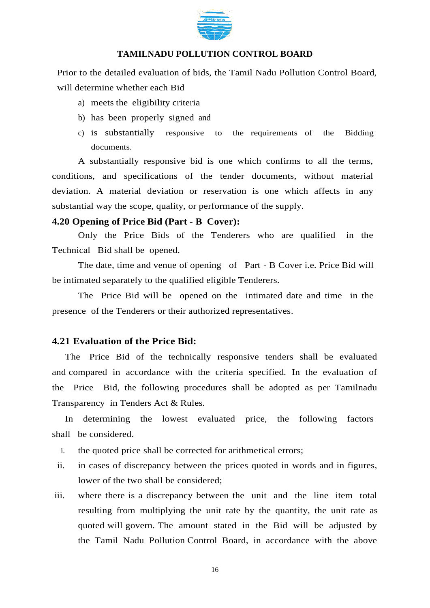

Prior to the detailed evaluation of bids, the Tamil Nadu Pollution Control Board, will determine whether each Bid

- a) meets the eligibility criteria
- b) has been properly signed and
- c) is substantially responsive to the requirements of the Bidding documents.

A substantially responsive bid is one which confirms to all the terms, conditions, and specifications of the tender documents, without material deviation. A material deviation or reservation is one which affects in any substantial way the scope, quality, or performance of the supply.

#### **4.20 Opening of Price Bid (Part - B Cover):**

Only the Price Bids of the Tenderers who are qualified in the Technical Bid shall be opened.

The date, time and venue of opening of Part - B Cover i.e. Price Bid will be intimated separately to the qualified eligible Tenderers.

The Price Bid will be opened on the intimated date and time in the presence of the Tenderers or their authorized representatives.

#### **4.21 Evaluation of the Price Bid:**

The Price Bid of the technically responsive tenders shall be evaluated and compared in accordance with the criteria specified. In the evaluation of the Price Bid, the following procedures shall be adopted as per Tamilnadu Transparency in Tenders Act & Rules.

In determining the lowest evaluated price, the following factors shall be considered.

- i. the quoted price shall be corrected for arithmetical errors;
- ii. in cases of discrepancy between the prices quoted in words and in figures, lower of the two shall be considered;
- iii. where there is a discrepancy between the unit and the line item total resulting from multiplying the unit rate by the quantity, the unit rate as quoted will govern. The amount stated in the Bid will be adjusted by the Tamil Nadu Pollution Control Board, in accordance with the above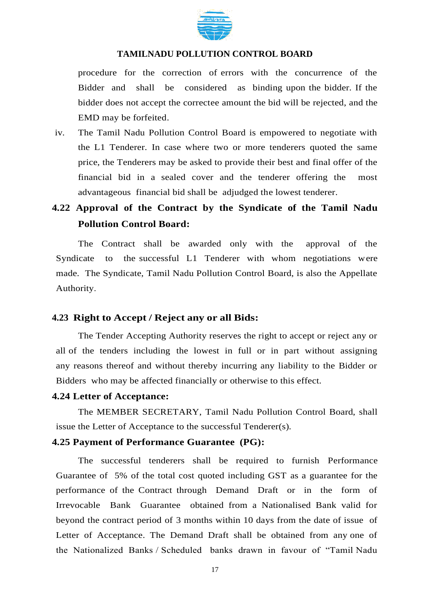

procedure for the correction of errors with the concurrence of the Bidder and shall be considered as binding upon the bidder. If the bidder does not accept the correctee amount the bid will be rejected, and the EMD may be forfeited.

iv. The Tamil Nadu Pollution Control Board is empowered to negotiate with the L1 Tenderer. In case where two or more tenderers quoted the same price, the Tenderers may be asked to provide their best and final offer of the financial bid in a sealed cover and the tenderer offering the most advantageous financial bid shall be adjudged the lowest tenderer.

## **4.22 Approval of the Contract by the Syndicate of the Tamil Nadu Pollution Control Board:**

The Contract shall be awarded only with the approval of the Syndicate to the successful L1 Tenderer with whom negotiations were made. The Syndicate, Tamil Nadu Pollution Control Board, is also the Appellate Authority.

#### **4.23 Right to Accept / Reject any or all Bids:**

The Tender Accepting Authority reserves the right to accept or reject any or all of the tenders including the lowest in full or in part without assigning any reasons thereof and without thereby incurring any liability to the Bidder or Bidders who may be affected financially or otherwise to this effect.

#### **4.24 Letter of Acceptance:**

The MEMBER SECRETARY, Tamil Nadu Pollution Control Board, shall issue the Letter of Acceptance to the successful Tenderer(s).

#### **4.25 Payment of Performance Guarantee (PG):**

The successful tenderers shall be required to furnish Performance Guarantee of 5% of the total cost quoted including GST as a guarantee for the performance of the Contract through Demand Draft or in the form of Irrevocable Bank Guarantee obtained from a Nationalised Bank valid for beyond the contract period of 3 months within 10 days from the date of issue of Letter of Acceptance. The Demand Draft shall be obtained from any one of the Nationalized Banks / Scheduled banks drawn in favour of "Tamil Nadu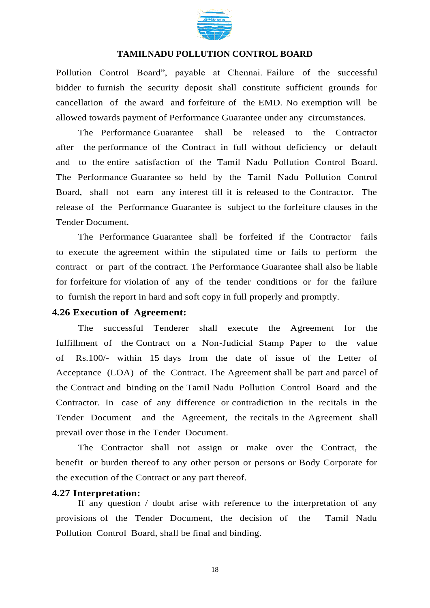

Pollution Control Board", payable at Chennai. Failure of the successful bidder to furnish the security deposit shall constitute sufficient grounds for cancellation of the award and forfeiture of the EMD. No exemption will be allowed towards payment of Performance Guarantee under any circumstances.

The Performance Guarantee shall be released to the Contractor after the performance of the Contract in full without deficiency or default and to the entire satisfaction of the Tamil Nadu Pollution Control Board. The Performance Guarantee so held by the Tamil Nadu Pollution Control Board, shall not earn any interest till it is released to the Contractor. The release of the Performance Guarantee is subject to the forfeiture clauses in the Tender Document.

The Performance Guarantee shall be forfeited if the Contractor fails to execute the agreement within the stipulated time or fails to perform the contract or part of the contract. The Performance Guarantee shall also be liable for forfeiture for violation of any of the tender conditions or for the failure to furnish the report in hard and soft copy in full properly and promptly.

#### **4.26 Execution of Agreement:**

The successful Tenderer shall execute the Agreement for the fulfillment of the Contract on a Non-Judicial Stamp Paper to the value of Rs.100/- within 15 days from the date of issue of the Letter of Acceptance (LOA) of the Contract. The Agreement shall be part and parcel of the Contract and binding on the Tamil Nadu Pollution Control Board and the Contractor. In case of any difference or contradiction in the recitals in the Tender Document and the Agreement, the recitals in the Agreement shall prevail over those in the Tender Document.

The Contractor shall not assign or make over the Contract, the benefit or burden thereof to any other person or persons or Body Corporate for the execution of the Contract or any part thereof.

#### **4.27 Interpretation:**

If any question / doubt arise with reference to the interpretation of any provisions of the Tender Document, the decision of the Tamil Nadu Pollution Control Board, shall be final and binding.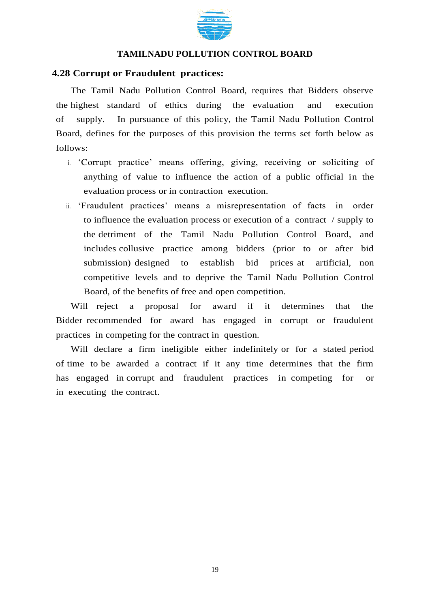

#### **4.28 Corrupt or Fraudulent practices:**

The Tamil Nadu Pollution Control Board, requires that Bidders observe the highest standard of ethics during the evaluation and execution of supply. In pursuance of this policy, the Tamil Nadu Pollution Control Board, defines for the purposes of this provision the terms set forth below as follows:

- i. 'Corrupt practice' means offering, giving, receiving or soliciting of anything of value to influence the action of a public official in the evaluation process or in contraction execution.
- ii. 'Fraudulent practices' means a misrepresentation of facts in order to influence the evaluation process or execution of a contract / supply to the detriment of the Tamil Nadu Pollution Control Board, and includes collusive practice among bidders (prior to or after bid submission) designed to establish bid prices at artificial, non competitive levels and to deprive the Tamil Nadu Pollution Control Board, of the benefits of free and open competition.

Will reject a proposal for award if it determines that the Bidder recommended for award has engaged in corrupt or fraudulent practices in competing for the contract in question.

Will declare a firm ineligible either indefinitely or for a stated period of time to be awarded a contract if it any time determines that the firm has engaged in corrupt and fraudulent practices in competing for or in executing the contract.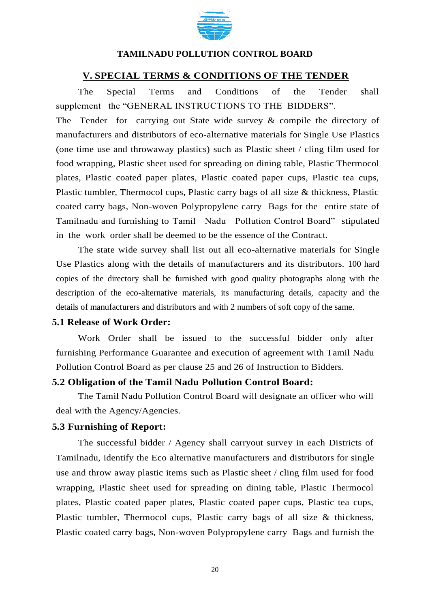

#### **V. SPECIAL TERMS & CONDITIONS OF THE TENDER**

The Special Terms and Conditions of the Tender shall supplement the "GENERAL INSTRUCTIONS TO THE BIDDERS".

The Tender for carrying out State wide survey & compile the directory of manufacturers and distributors of eco-alternative materials for Single Use Plastics (one time use and throwaway plastics) such as Plastic sheet / cling film used for food wrapping, Plastic sheet used for spreading on dining table, Plastic Thermocol plates, Plastic coated paper plates, Plastic coated paper cups, Plastic tea cups, Plastic tumbler, Thermocol cups, Plastic carry bags of all size & thickness, Plastic coated carry bags, Non-woven Polypropylene carry Bags for the entire state of Tamilnadu and furnishing to Tamil Nadu Pollution Control Board" stipulated in the work order shall be deemed to be the essence of the Contract.

The state wide survey shall list out all eco-alternative materials for Single Use Plastics along with the details of manufacturers and its distributors. 100 hard copies of the directory shall be furnished with good quality photographs along with the description of the eco-alternative materials, its manufacturing details, capacity and the details of manufacturers and distributors and with 2 numbers of soft copy of the same.

#### **5.1 Release of Work Order:**

Work Order shall be issued to the successful bidder only after furnishing Performance Guarantee and execution of agreement with Tamil Nadu Pollution Control Board as per clause 25 and 26 of Instruction to Bidders.

#### **5.2 Obligation of the Tamil Nadu Pollution Control Board:**

The Tamil Nadu Pollution Control Board will designate an officer who will deal with the Agency/Agencies.

#### **5.3 Furnishing of Report:**

The successful bidder / Agency shall carryout survey in each Districts of Tamilnadu, identify the Eco alternative manufacturers and distributors for single use and throw away plastic items such as Plastic sheet / cling film used for food wrapping, Plastic sheet used for spreading on dining table, Plastic Thermocol plates, Plastic coated paper plates, Plastic coated paper cups, Plastic tea cups, Plastic tumbler, Thermocol cups, Plastic carry bags of all size & thickness, Plastic coated carry bags, Non-woven Polypropylene carry Bags and furnish the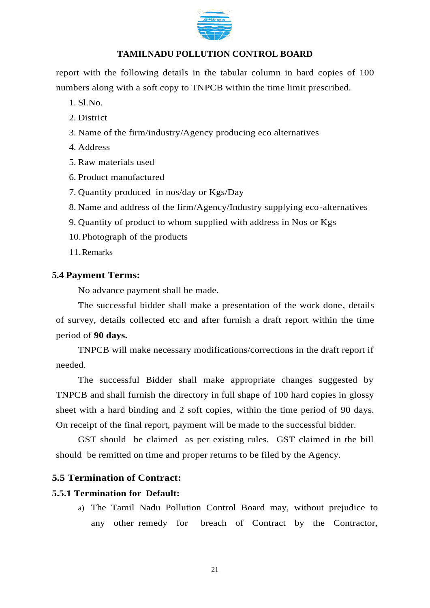

report with the following details in the tabular column in hard copies of 100 numbers along with a soft copy to TNPCB within the time limit prescribed.

1. Sl.No.

- 2. District
- 3. Name of the firm/industry/Agency producing eco alternatives
- 4. Address
- 5. Raw materials used
- 6. Product manufactured
- 7. Quantity produced in nos/day or Kgs/Day
- 8. Name and address of the firm/Agency/Industry supplying eco-alternatives
- 9. Quantity of product to whom supplied with address in Nos or Kgs
- 10.Photograph of the products
- 11.Remarks

## **5.4 Payment Terms:**

No advance payment shall be made.

The successful bidder shall make a presentation of the work done, details of survey, details collected etc and after furnish a draft report within the time period of **90 days.** 

TNPCB will make necessary modifications/corrections in the draft report if needed.

The successful Bidder shall make appropriate changes suggested by TNPCB and shall furnish the directory in full shape of 100 hard copies in glossy sheet with a hard binding and 2 soft copies, within the time period of 90 days. On receipt of the final report, payment will be made to the successful bidder.

GST should be claimed as per existing rules. GST claimed in the bill should be remitted on time and proper returns to be filed by the Agency.

## **5.5 Termination of Contract:**

## **5.5.1 Termination for Default:**

a) The Tamil Nadu Pollution Control Board may, without prejudice to any other remedy for breach of Contract by the Contractor,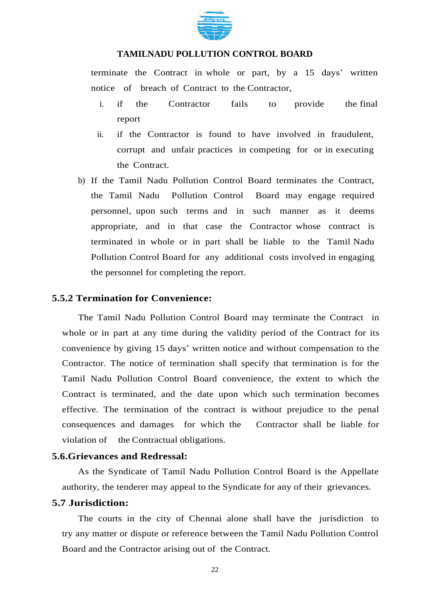

terminate the Contract in whole or part, by a 15 days' written notice of breach of Contract to the Contractor,

- i. if the Contractor fails to provide the final report
- ii. if the Contractor is found to have involved in fraudulent, corrupt and unfair practices in competing for or in executing the Contract.
- b) If the Tamil Nadu Pollution Control Board terminates the Contract, the Tamil Nadu Pollution Control Board may engage required personnel, upon such terms and in such manner as it deems appropriate, and in that case the Contractor whose contract is terminated in whole or in part shall be liable to the Tamil Nadu Pollution Control Board for any additional costs involved in engaging the personnel for completing the report.

#### **5.5.2 Termination for Convenience:**

The Tamil Nadu Pollution Control Board may terminate the Contract in whole or in part at any time during the validity period of the Contract for its convenience by giving 15 days' written notice and without compensation to the Contractor. The notice of termination shall specify that termination is for the Tamil Nadu Pollution Control Board convenience, the extent to which the Contract is terminated, and the date upon which such termination becomes effective. The termination of the contract is without prejudice to the penal consequences and damages for which the Contractor shall be liable for violation of the Contractual obligations.

#### **5.6.Grievances and Redressal:**

As the Syndicate of Tamil Nadu Pollution Control Board is the Appellate authority, the tenderer may appeal to the Syndicate for any of their grievances.

#### **5.7 Jurisdiction:**

The courts in the city of Chennai alone shall have the jurisdiction to try any matter or dispute or reference between the Tamil Nadu Pollution Control Board and the Contractor arising out of the Contract.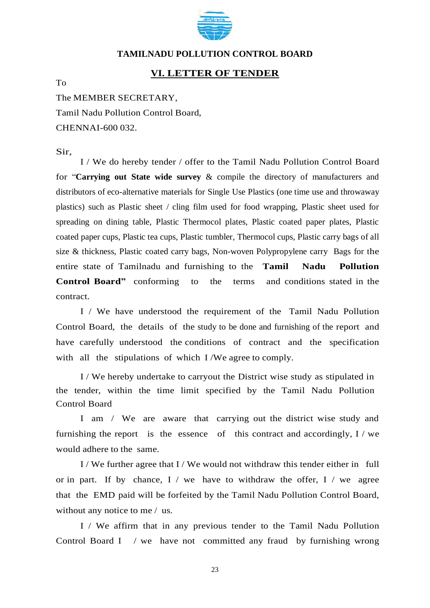

#### **VI. LETTER OF TENDER**

To

The MEMBER SECRETARY,

Tamil Nadu Pollution Control Board, CHENNAI-600 032.

Sir,

I / We do hereby tender / offer to the Tamil Nadu Pollution Control Board for "**Carrying out State wide survey** & compile the directory of manufacturers and distributors of eco-alternative materials for Single Use Plastics (one time use and throwaway plastics) such as Plastic sheet / cling film used for food wrapping, Plastic sheet used for spreading on dining table, Plastic Thermocol plates, Plastic coated paper plates, Plastic coated paper cups, Plastic tea cups, Plastic tumbler, Thermocol cups, Plastic carry bags of all size & thickness, Plastic coated carry bags, Non-woven Polypropylene carry Bags for the entire state of Tamilnadu and furnishing to the **Tamil Nadu Pollution Control Board"** conforming to the terms and conditions stated in the contract.

I / We have understood the requirement of the Tamil Nadu Pollution Control Board, the details of the study to be done and furnishing of the report and have carefully understood the conditions of contract and the specification with all the stipulations of which I /We agree to comply.

I / We hereby undertake to carryout the District wise study as stipulated in the tender, within the time limit specified by the Tamil Nadu Pollution Control Board

I am / We are aware that carrying out the district wise study and furnishing the report is the essence of this contract and accordingly, I / we would adhere to the same.

I / We further agree that I / We would not withdraw this tender either in full or in part. If by chance,  $I /$  we have to withdraw the offer,  $I /$  we agree that the EMD paid will be forfeited by the Tamil Nadu Pollution Control Board, without any notice to me / us.

I / We affirm that in any previous tender to the Tamil Nadu Pollution Control Board I / we have not committed any fraud by furnishing wrong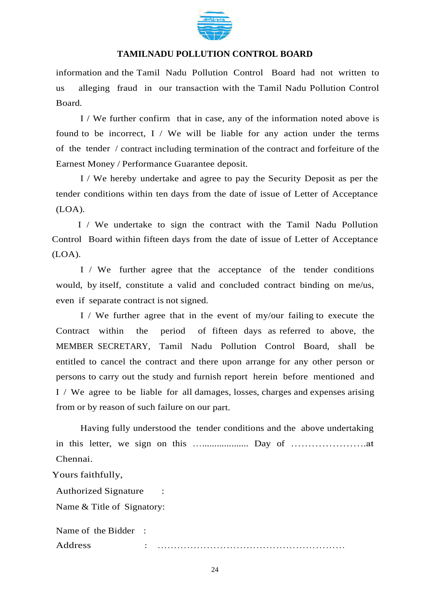

information and the Tamil Nadu Pollution Control Board had not written to us alleging fraud in our transaction with the Tamil Nadu Pollution Control Board.

I / We further confirm that in case, any of the information noted above is found to be incorrect,  $I / We will be liable for any action under the terms$ of the tender / contract including termination of the contract and forfeiture of the Earnest Money / Performance Guarantee deposit.

I / We hereby undertake and agree to pay the Security Deposit as per the tender conditions within ten days from the date of issue of Letter of Acceptance (LOA).

I / We undertake to sign the contract with the Tamil Nadu Pollution Control Board within fifteen days from the date of issue of Letter of Acceptance (LOA).

I / We further agree that the acceptance of the tender conditions would, by itself, constitute a valid and concluded contract binding on me/us, even if separate contract is not signed.

I / We further agree that in the event of my/our failing to execute the Contract within the period of fifteen days as referred to above, the MEMBER SECRETARY, Tamil Nadu Pollution Control Board, shall be entitled to cancel the contract and there upon arrange for any other person or persons to carry out the study and furnish report herein before mentioned and I / We agree to be liable for all damages, losses, charges and expenses arising from or by reason of such failure on our part.

Having fully understood the tender conditions and the above undertaking in this letter, we sign on this …................... Day of ………………….at Chennai.

Yours faithfully,

Authorized Signature : Name & Title of Signatory:

Name of the Bidder : Address : …………………………………………………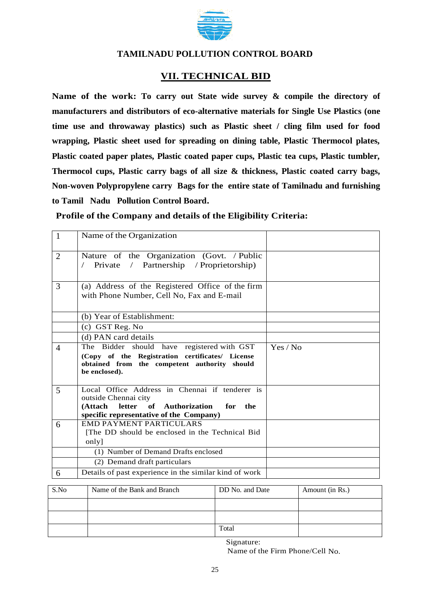

## **VII. TECHNICAL BID**

**Name of the work: To carry out State wide survey & compile the directory of manufacturers and distributors of eco-alternative materials for Single Use Plastics (one time use and throwaway plastics) such as Plastic sheet / cling film used for food wrapping, Plastic sheet used for spreading on dining table, Plastic Thermocol plates, Plastic coated paper plates, Plastic coated paper cups, Plastic tea cups, Plastic tumbler, Thermocol cups, Plastic carry bags of all size & thickness, Plastic coated carry bags, Non-woven Polypropylene carry Bags for the entire state of Tamilnadu and furnishing to Tamil Nadu Pollution Control Board.**

**Profile of the Company and details of the Eligibility Criteria:**

| $\overline{1}$ | Name of the Organization                                                                                                                                       |          |
|----------------|----------------------------------------------------------------------------------------------------------------------------------------------------------------|----------|
| 2              | Nature of the Organization (Govt. / Public<br>/ Partnership / Proprietorship)<br>Private                                                                       |          |
| 3              | (a) Address of the Registered Office of the firm<br>with Phone Number, Cell No, Fax and E-mail                                                                 |          |
|                | (b) Year of Establishment:                                                                                                                                     |          |
|                | (c) GST Reg. No                                                                                                                                                |          |
|                | (d) PAN card details                                                                                                                                           |          |
| $\overline{4}$ | The Bidder should have registered with GST<br>(Copy of the Registration certificates/ License<br>obtained from the competent authority should<br>be enclosed). | Yes / No |
| 5              | Local Office Address in Chennai if tenderer is<br>outside Chennai city<br>(Attach letter of Authorization for the<br>specific representative of the Company)   |          |
| 6              | <b>EMD PAYMENT PARTICULARS</b><br>[The DD should be enclosed in the Technical Bid<br>only]                                                                     |          |
|                | (1) Number of Demand Drafts enclosed                                                                                                                           |          |
|                | (2) Demand draft particulars                                                                                                                                   |          |
| 6              | Details of past experience in the similar kind of work                                                                                                         |          |

| S.No | Name of the Bank and Branch | DD No. and Date | Amount (in Rs.) |
|------|-----------------------------|-----------------|-----------------|
|      |                             |                 |                 |
|      |                             |                 |                 |
|      |                             | Total           |                 |

Signature: Name of the Firm Phone/Cell No.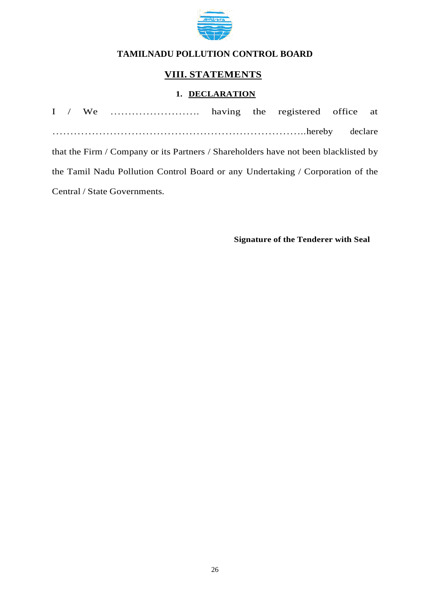

## **VIII. STATEMENTS**

## **1. DECLARATION**

|  |                              |  | that the Firm / Company or its Partners / Shareholders have not been blacklisted by |  |
|--|------------------------------|--|-------------------------------------------------------------------------------------|--|
|  |                              |  | the Tamil Nadu Pollution Control Board or any Undertaking / Corporation of the      |  |
|  | Central / State Governments. |  |                                                                                     |  |

**Signature of the Tenderer with Seal**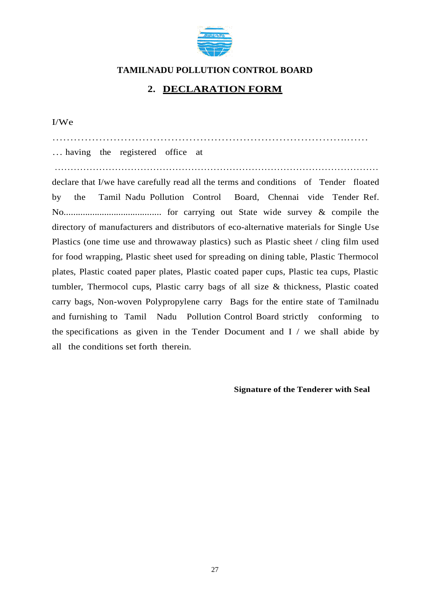

## **2. DECLARATION FORM**

I/We

……………………………………………………………………….…… … having the registered office at ………………………………………………………………………………………… declare that I/we have carefully read all the terms and conditions of Tender floated by the Tamil Nadu Pollution Control Board, Chennai vide Tender Ref. No......................................... for carrying out State wide survey & compile the directory of manufacturers and distributors of eco-alternative materials for Single Use Plastics (one time use and throwaway plastics) such as Plastic sheet / cling film used for food wrapping, Plastic sheet used for spreading on dining table, Plastic Thermocol plates, Plastic coated paper plates, Plastic coated paper cups, Plastic tea cups, Plastic tumbler, Thermocol cups, Plastic carry bags of all size & thickness, Plastic coated carry bags, Non-woven Polypropylene carry Bags for the entire state of Tamilnadu and furnishing to Tamil Nadu Pollution Control Board strictly conforming to the specifications as given in the Tender Document and I / we shall abide by all the conditions set forth therein.

**Signature of the Tenderer with Seal**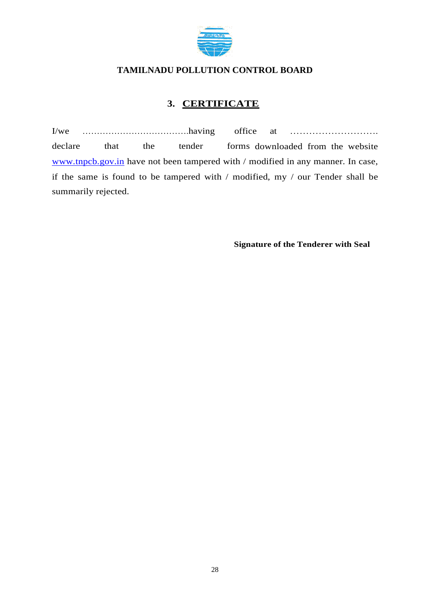

## **3. CERTIFICATE**

I/we ……………………………….having office at ………………………. declare that the tender forms downloaded from the website [www.tnpcb.gov.in](http://www.tnpcb.gov.in/) have not been tampered with / modified in any manner. In case, if the same is found to be tampered with / modified, my / our Tender shall be summarily rejected.

**Signature of the Tenderer with Seal**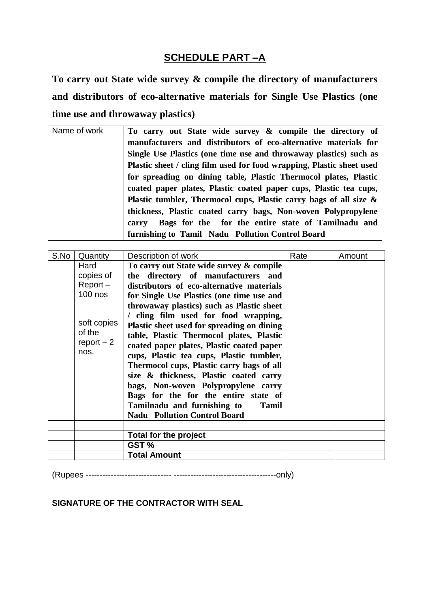## **SCHEDULE PART –A**

**To carry out State wide survey & compile the directory of manufacturers and distributors of eco-alternative materials for Single Use Plastics (one time use and throwaway plastics)**

| Name of work | To carry out State wide survey & compile the directory of             |  |  |
|--------------|-----------------------------------------------------------------------|--|--|
|              | manufacturers and distributors of eco-alternative materials for       |  |  |
|              | Single Use Plastics (one time use and throwaway plastics) such as     |  |  |
|              | Plastic sheet / cling film used for food wrapping, Plastic sheet used |  |  |
|              | for spreading on dining table, Plastic Thermocol plates, Plastic      |  |  |
|              | coated paper plates, Plastic coated paper cups, Plastic tea cups,     |  |  |
|              | Plastic tumbler, Thermocol cups, Plastic carry bags of all size $\&$  |  |  |
|              | thickness, Plastic coated carry bags, Non-woven Polypropylene         |  |  |
|              | Bags for the for the entire state of Tamilnadu and<br>carry           |  |  |
|              | furnishing to Tamil Nadu Pollution Control Board                      |  |  |

| S.No | Quantity     | Description of work                         | Rate | Amount |
|------|--------------|---------------------------------------------|------|--------|
|      | Hard         | To carry out State wide survey & compile    |      |        |
|      | copies of    | the directory of manufacturers and          |      |        |
|      | $Report -$   | distributors of eco-alternative materials   |      |        |
|      | $100$ nos    | for Single Use Plastics (one time use and   |      |        |
|      |              | throwaway plastics) such as Plastic sheet   |      |        |
|      |              | / cling film used for food wrapping,        |      |        |
|      | soft copies  | Plastic sheet used for spreading on dining  |      |        |
|      | of the       | table, Plastic Thermocol plates, Plastic    |      |        |
|      | $report - 2$ | coated paper plates, Plastic coated paper   |      |        |
|      | nos.         | cups, Plastic tea cups, Plastic tumbler,    |      |        |
|      |              | Thermocol cups, Plastic carry bags of all   |      |        |
|      |              | size & thickness, Plastic coated carry      |      |        |
|      |              | bags, Non-woven Polypropylene carry         |      |        |
|      |              | Bags for the for the entire state of        |      |        |
|      |              | Tamilnadu and furnishing to<br><b>Tamil</b> |      |        |
|      |              | <b>Nadu Pollution Control Board</b>         |      |        |
|      |              |                                             |      |        |
|      |              | Total for the project                       |      |        |
|      |              | GST %                                       |      |        |
|      |              | <b>Total Amount</b>                         |      |        |

(Rupees ------------------------------- -------------------------------------only)

**SIGNATURE OF THE CONTRACTOR WITH SEAL**